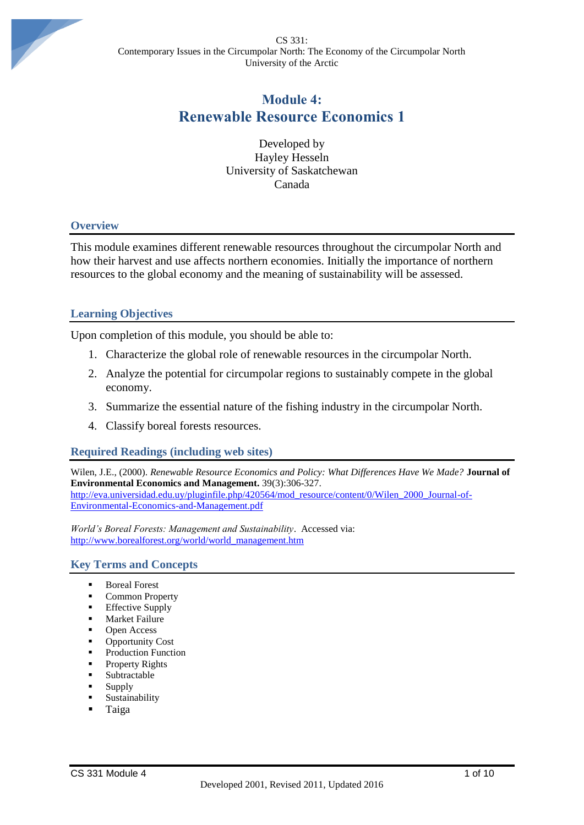CS 331: Contemporary Issues in the Circumpolar North: The Economy of the Circumpolar North University of the Arctic



# **Module 4: Renewable Resource Economics 1**

Developed by Hayley Hesseln University of Saskatchewan Canada

### **Overview**

This module examines different renewable resources throughout the circumpolar North and how their harvest and use affects northern economies. Initially the importance of northern resources to the global economy and the meaning of sustainability will be assessed.

### **Learning Objectives**

Upon completion of this module, you should be able to:

- 1. Characterize the global role of renewable resources in the circumpolar North.
- 2. Analyze the potential for circumpolar regions to sustainably compete in the global economy.
- 3. Summarize the essential nature of the fishing industry in the circumpolar North.
- 4. Classify boreal forests resources.

# **Required Readings (including web sites)**

Wilen, J.E., (2000). *Renewable Resource Economics and Policy: What Differences Have We Made?* **Journal of Environmental Economics and Management.** 39(3):306-327. [http://eva.universidad.edu.uy/pluginfile.php/420564/mod\\_resource/content/0/Wilen\\_2000\\_Journal-of-](http://eva.universidad.edu.uy/pluginfile.php/420564/mod_resource/content/0/Wilen_2000_Journal-of-Environmental-Economics-and-Management.pdf)[Environmental-Economics-and-Management.pdf](http://eva.universidad.edu.uy/pluginfile.php/420564/mod_resource/content/0/Wilen_2000_Journal-of-Environmental-Economics-and-Management.pdf)

*World's Boreal Forests: Management and Sustainability*. Accessed via: [http://www.borealforest.org/world/world\\_management.htm](http://www.borealforest.org/world/world_management.htm)

### **Key Terms and Concepts**

- **Boreal Forest**
- **Common Property**
- **Effective Supply**
- Market Failure
- Open Access
- Opportunity Cost
- Production Function
- Property Rights
- Subtractable
- **Supply**
- Sustainability
- **Taiga**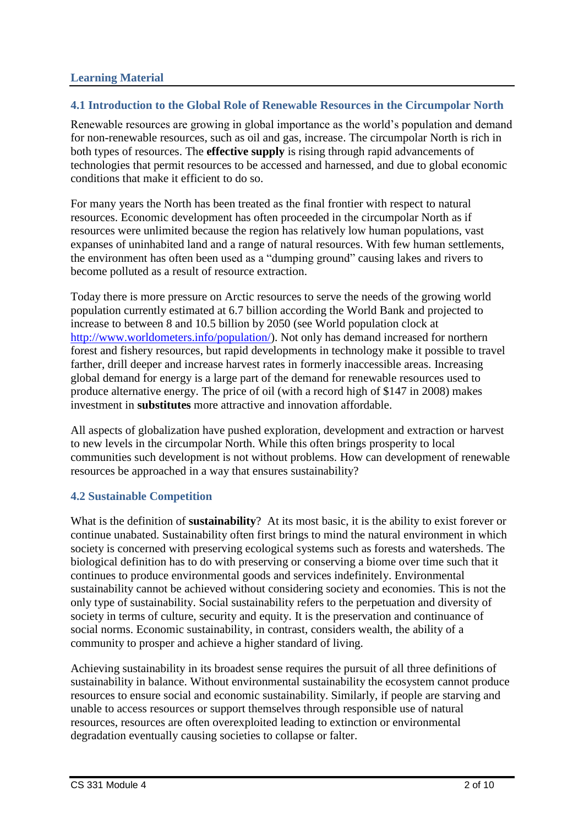# **4.1 Introduction to the Global Role of Renewable Resources in the Circumpolar North**

Renewable resources are growing in global importance as the world's population and demand for non-renewable resources, such as oil and gas, increase. The circumpolar North is rich in both types of resources. The **effective supply** is rising through rapid advancements of technologies that permit resources to be accessed and harnessed, and due to global economic conditions that make it efficient to do so.

For many years the North has been treated as the final frontier with respect to natural resources. Economic development has often proceeded in the circumpolar North as if resources were unlimited because the region has relatively low human populations, vast expanses of uninhabited land and a range of natural resources. With few human settlements, the environment has often been used as a "dumping ground" causing lakes and rivers to become polluted as a result of resource extraction.

Today there is more pressure on Arctic resources to serve the needs of the growing world population currently estimated at 6.7 billion according the World Bank and projected to increase to between 8 and 10.5 billion by 2050 (see World population clock at [http://www.worldometers.info/population/\)](http://www.worldometers.info/population/). Not only has demand increased for northern forest and fishery resources, but rapid developments in technology make it possible to travel farther, drill deeper and increase harvest rates in formerly inaccessible areas. Increasing global demand for energy is a large part of the demand for renewable resources used to produce alternative energy. The price of oil (with a record high of \$147 in 2008) makes investment in **substitutes** more attractive and innovation affordable.

All aspects of globalization have pushed exploration, development and extraction or harvest to new levels in the circumpolar North. While this often brings prosperity to local communities such development is not without problems. How can development of renewable resources be approached in a way that ensures sustainability?

# **4.2 Sustainable Competition**

What is the definition of **sustainability**? At its most basic, it is the ability to exist forever or continue unabated. Sustainability often first brings to mind the natural environment in which society is concerned with preserving ecological systems such as forests and watersheds. The biological definition has to do with preserving or conserving a biome over time such that it continues to produce environmental goods and services indefinitely. Environmental sustainability cannot be achieved without considering society and economies. This is not the only type of sustainability. Social sustainability refers to the perpetuation and diversity of society in terms of culture, security and equity. It is the preservation and continuance of social norms. Economic sustainability, in contrast, considers wealth, the ability of a community to prosper and achieve a higher standard of living.

Achieving sustainability in its broadest sense requires the pursuit of all three definitions of sustainability in balance. Without environmental sustainability the ecosystem cannot produce resources to ensure social and economic sustainability. Similarly, if people are starving and unable to access resources or support themselves through responsible use of natural resources, resources are often overexploited leading to extinction or environmental degradation eventually causing societies to collapse or falter.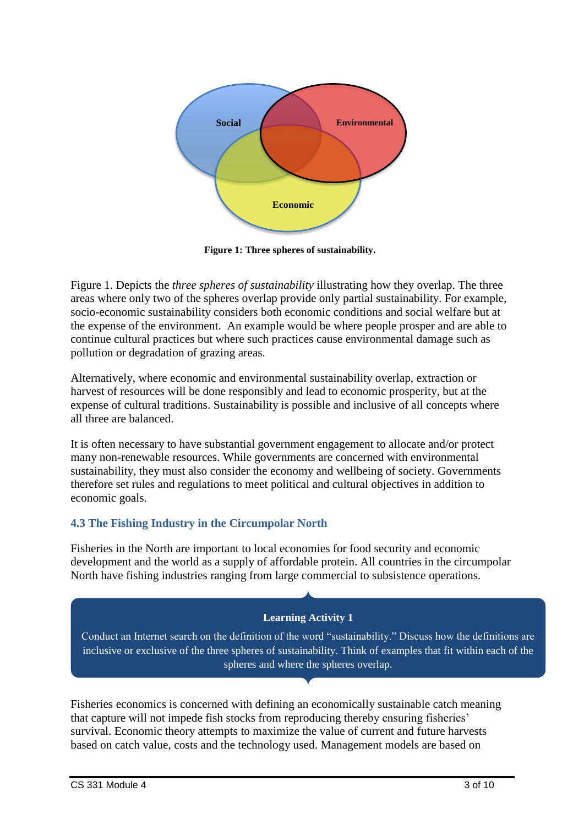

**Figure 1: Three spheres of sustainability.**

Figure 1. Depicts the *three spheres of sustainability* illustrating how they overlap. The three areas where only two of the spheres overlap provide only partial sustainability. For example, socio-economic sustainability considers both economic conditions and social welfare but at the expense of the environment. An example would be where people prosper and are able to continue cultural practices but where such practices cause environmental damage such as pollution or degradation of grazing areas.

Alternatively, where economic and environmental sustainability overlap, extraction or harvest of resources will be done responsibly and lead to economic prosperity, but at the expense of cultural traditions. Sustainability is possible and inclusive of all concepts where all three are balanced.

It is often necessary to have substantial government engagement to allocate and/or protect many non-renewable resources. While governments are concerned with environmental sustainability, they must also consider the economy and wellbeing of society. Governments therefore set rules and regulations to meet political and cultural objectives in addition to economic goals.

# **4.3 The Fishing Industry in the Circumpolar North**

Fisheries in the North are important to local economies for food security and economic development and the world as a supply of affordable protein. All countries in the circumpolar North have fishing industries ranging from large commercial to subsistence operations.

# **Learning Activity 1**

Conduct an Internet search on the definition of the word "sustainability." Discuss how the definitions are inclusive or exclusive of the three spheres of sustainability. Think of examples that fit within each of the spheres and where the spheres overlap.

Fisheries economics is concerned with defining an economically sustainable catch meaning that capture will not impede fish stocks from reproducing thereby ensuring fisheries' survival. Economic theory attempts to maximize the value of current and future harvests based on catch value, costs and the technology used. Management models are based on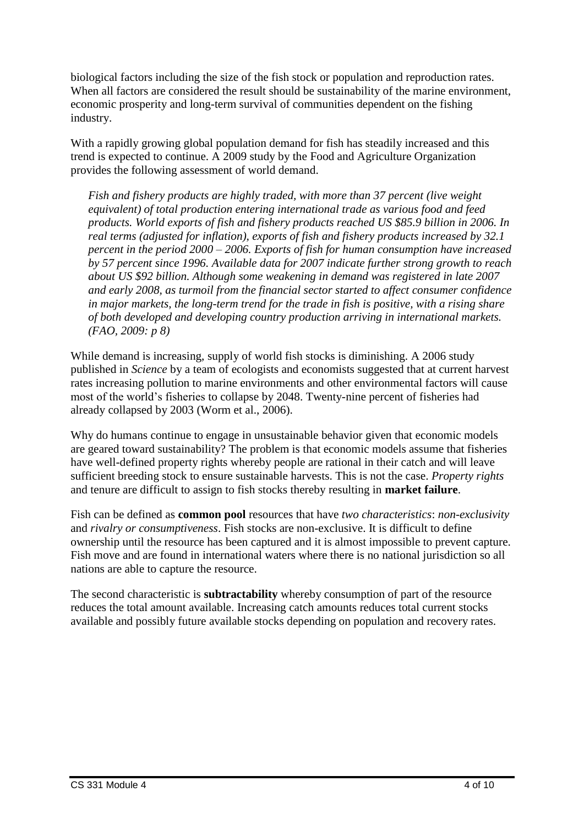biological factors including the size of the fish stock or population and reproduction rates. When all factors are considered the result should be sustainability of the marine environment, economic prosperity and long-term survival of communities dependent on the fishing industry.

With a rapidly growing global population demand for fish has steadily increased and this trend is expected to continue. A 2009 study by the Food and Agriculture Organization provides the following assessment of world demand.

*Fish and fishery products are highly traded, with more than 37 percent (live weight equivalent) of total production entering international trade as various food and feed products. World exports of fish and fishery products reached US \$85.9 billion in 2006. In real terms (adjusted for inflation), exports of fish and fishery products increased by 32.1 percent in the period 2000 – 2006. Exports of fish for human consumption have increased by 57 percent since 1996. Available data for 2007 indicate further strong growth to reach about US \$92 billion. Although some weakening in demand was registered in late 2007 and early 2008, as turmoil from the financial sector started to affect consumer confidence in major markets, the long-term trend for the trade in fish is positive, with a rising share of both developed and developing country production arriving in international markets. (FAO, 2009: p 8)*

While demand is increasing, supply of world fish stocks is diminishing. A 2006 study published in *Science* by a team of ecologists and economists suggested that at current harvest rates increasing pollution to marine environments and other environmental factors will cause most of the world's fisheries to collapse by 2048. Twenty-nine percent of fisheries had already collapsed by 2003 (Worm et al., 2006).

Why do humans continue to engage in unsustainable behavior given that economic models are geared toward sustainability? The problem is that economic models assume that fisheries have well-defined property rights whereby people are rational in their catch and will leave sufficient breeding stock to ensure sustainable harvests. This is not the case. *Property rights* and tenure are difficult to assign to fish stocks thereby resulting in **market failure**.

Fish can be defined as **common pool** resources that have *two characteristics*: *non-exclusivity* and *rivalry or consumptiveness*. Fish stocks are non-exclusive. It is difficult to define ownership until the resource has been captured and it is almost impossible to prevent capture. Fish move and are found in international waters where there is no national jurisdiction so all nations are able to capture the resource.

The second characteristic is **subtractability** whereby consumption of part of the resource reduces the total amount available. Increasing catch amounts reduces total current stocks available and possibly future available stocks depending on population and recovery rates.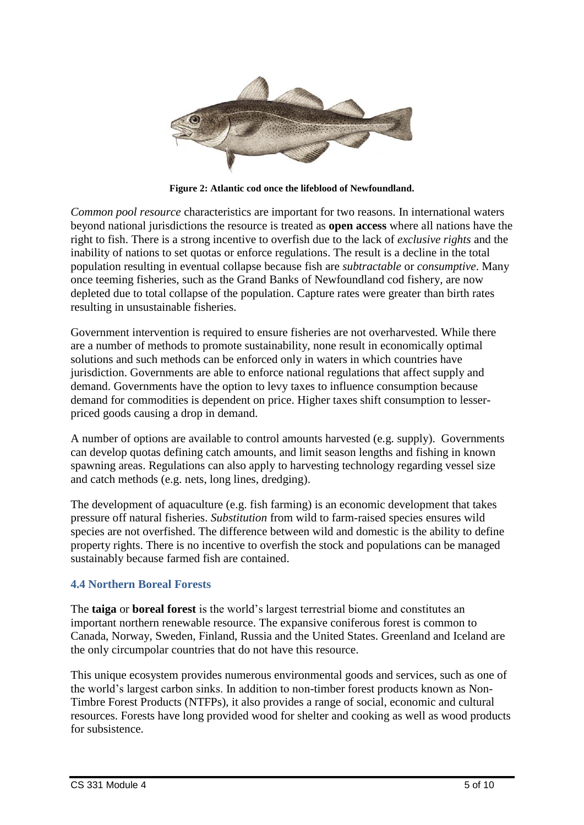

**Figure 2: Atlantic cod once the lifeblood of Newfoundland.**

*Common pool resource* characteristics are important for two reasons. In international waters beyond national jurisdictions the resource is treated as **open access** where all nations have the right to fish. There is a strong incentive to overfish due to the lack of *exclusive rights* and the inability of nations to set quotas or enforce regulations. The result is a decline in the total population resulting in eventual collapse because fish are *subtractable* or *consumptive*. Many once teeming fisheries, such as the Grand Banks of Newfoundland cod fishery, are now depleted due to total collapse of the population. Capture rates were greater than birth rates resulting in unsustainable fisheries.

Government intervention is required to ensure fisheries are not overharvested. While there are a number of methods to promote sustainability, none result in economically optimal solutions and such methods can be enforced only in waters in which countries have jurisdiction. Governments are able to enforce national regulations that affect supply and demand. Governments have the option to levy taxes to influence consumption because demand for commodities is dependent on price. Higher taxes shift consumption to lesserpriced goods causing a drop in demand.

A number of options are available to control amounts harvested (e.g. supply). Governments can develop quotas defining catch amounts, and limit season lengths and fishing in known spawning areas. Regulations can also apply to harvesting technology regarding vessel size and catch methods (e.g. nets, long lines, dredging).

The development of aquaculture (e.g. fish farming) is an economic development that takes pressure off natural fisheries. *Substitution* from wild to farm-raised species ensures wild species are not overfished. The difference between wild and domestic is the ability to define property rights. There is no incentive to overfish the stock and populations can be managed sustainably because farmed fish are contained.

# **4.4 Northern Boreal Forests**

The **taiga** or **boreal forest** is the world's largest terrestrial biome and constitutes an important northern renewable resource. The expansive coniferous forest is common to Canada, Norway, Sweden, Finland, Russia and the United States. Greenland and Iceland are the only circumpolar countries that do not have this resource.

This unique ecosystem provides numerous environmental goods and services, such as one of the world's largest carbon sinks. In addition to non-timber forest products known as Non-Timbre Forest Products (NTFPs), it also provides a range of social, economic and cultural resources. Forests have long provided wood for shelter and cooking as well as wood products for subsistence.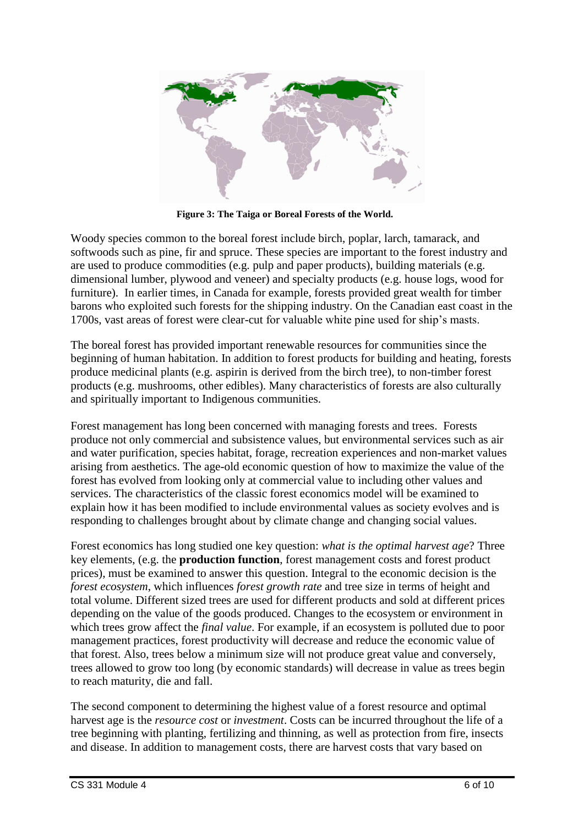

**Figure 3: The Taiga or Boreal Forests of the World.**

Woody species common to the boreal forest include birch, poplar, larch, tamarack, and softwoods such as pine, fir and spruce. These species are important to the forest industry and are used to produce commodities (e.g. pulp and paper products), building materials (e.g. dimensional lumber, plywood and veneer) and specialty products (e.g. house logs, wood for furniture). In earlier times, in Canada for example, forests provided great wealth for timber barons who exploited such forests for the shipping industry. On the Canadian east coast in the 1700s, vast areas of forest were clear-cut for valuable white pine used for ship's masts.

The boreal forest has provided important renewable resources for communities since the beginning of human habitation. In addition to forest products for building and heating, forests produce medicinal plants (e.g. aspirin is derived from the birch tree), to non-timber forest products (e.g. mushrooms, other edibles). Many characteristics of forests are also culturally and spiritually important to Indigenous communities.

Forest management has long been concerned with managing forests and trees. Forests produce not only commercial and subsistence values, but environmental services such as air and water purification, species habitat, forage, recreation experiences and non-market values arising from aesthetics. The age-old economic question of how to maximize the value of the forest has evolved from looking only at commercial value to including other values and services. The characteristics of the classic forest economics model will be examined to explain how it has been modified to include environmental values as society evolves and is responding to challenges brought about by climate change and changing social values.

Forest economics has long studied one key question: *what is the optimal harvest age*? Three key elements, (e.g. the **production function**, forest management costs and forest product prices), must be examined to answer this question. Integral to the economic decision is the *forest ecosystem*, which influences *forest growth rate* and tree size in terms of height and total volume. Different sized trees are used for different products and sold at different prices depending on the value of the goods produced. Changes to the ecosystem or environment in which trees grow affect the *final value*. For example, if an ecosystem is polluted due to poor management practices, forest productivity will decrease and reduce the economic value of that forest. Also, trees below a minimum size will not produce great value and conversely, trees allowed to grow too long (by economic standards) will decrease in value as trees begin to reach maturity, die and fall.

The second component to determining the highest value of a forest resource and optimal harvest age is the *resource cost* or *investment*. Costs can be incurred throughout the life of a tree beginning with planting, fertilizing and thinning, as well as protection from fire, insects and disease. In addition to management costs, there are harvest costs that vary based on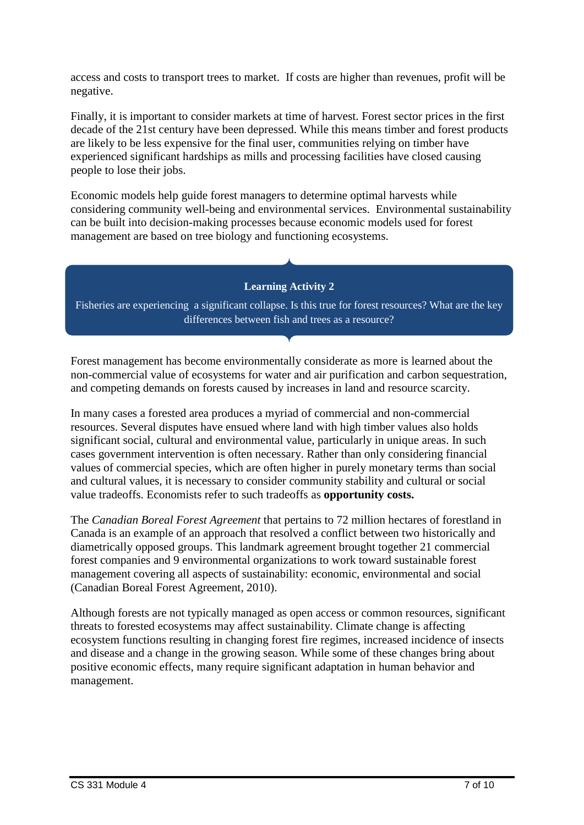access and costs to transport trees to market. If costs are higher than revenues, profit will be negative.

Finally, it is important to consider markets at time of harvest. Forest sector prices in the first decade of the 21st century have been depressed. While this means timber and forest products are likely to be less expensive for the final user, communities relying on timber have experienced significant hardships as mills and processing facilities have closed causing people to lose their jobs.

Economic models help guide forest managers to determine optimal harvests while considering community well-being and environmental services. Environmental sustainability can be built into decision-making processes because economic models used for forest management are based on tree biology and functioning ecosystems.

**Learning Activity 2**

Fisheries are experiencing a significant collapse. Is this true for forest resources? What are the key differences between fish and trees as a resource?

Forest management has become environmentally considerate as more is learned about the non-commercial value of ecosystems for water and air purification and carbon sequestration, and competing demands on forests caused by increases in land and resource scarcity.

In many cases a forested area produces a myriad of commercial and non-commercial resources. Several disputes have ensued where land with high timber values also holds significant social, cultural and environmental value, particularly in unique areas. In such cases government intervention is often necessary. Rather than only considering financial values of commercial species, which are often higher in purely monetary terms than social and cultural values, it is necessary to consider community stability and cultural or social value tradeoffs. Economists refer to such tradeoffs as **opportunity costs.**

The *Canadian Boreal Forest Agreement* that pertains to 72 million hectares of forestland in Canada is an example of an approach that resolved a conflict between two historically and diametrically opposed groups. This landmark agreement brought together 21 commercial forest companies and 9 environmental organizations to work toward sustainable forest management covering all aspects of sustainability: economic, environmental and social (Canadian Boreal Forest Agreement, 2010).

Although forests are not typically managed as open access or common resources, significant threats to forested ecosystems may affect sustainability. Climate change is affecting ecosystem functions resulting in changing forest fire regimes, increased incidence of insects and disease and a change in the growing season. While some of these changes bring about positive economic effects, many require significant adaptation in human behavior and management.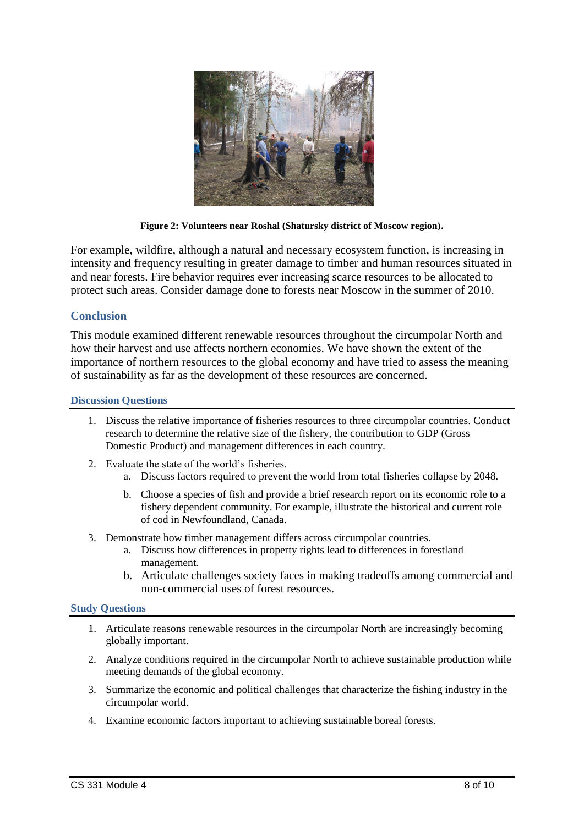

**Figure 2: Volunteers near Roshal (Shatursky district of Moscow region).**

For example, wildfire, although a natural and necessary ecosystem function, is increasing in intensity and frequency resulting in greater damage to timber and human resources situated in and near forests. Fire behavior requires ever increasing scarce resources to be allocated to protect such areas. Consider damage done to forests near Moscow in the summer of 2010.

### **Conclusion**

This module examined different renewable resources throughout the circumpolar North and how their harvest and use affects northern economies. We have shown the extent of the importance of northern resources to the global economy and have tried to assess the meaning of sustainability as far as the development of these resources are concerned.

### **Discussion Questions**

- 1. Discuss the relative importance of fisheries resources to three circumpolar countries. Conduct research to determine the relative size of the fishery, the contribution to GDP (Gross Domestic Product) and management differences in each country.
- 2. Evaluate the state of the world's fisheries.
	- a. Discuss factors required to prevent the world from total fisheries collapse by 2048.
		- b. Choose a species of fish and provide a brief research report on its economic role to a fishery dependent community. For example, illustrate the historical and current role of cod in Newfoundland, Canada.
- 3. Demonstrate how timber management differs across circumpolar countries.
	- a. Discuss how differences in property rights lead to differences in forestland management.
	- b. Articulate challenges society faces in making tradeoffs among commercial and non-commercial uses of forest resources.

#### **Study Questions**

- 1. Articulate reasons renewable resources in the circumpolar North are increasingly becoming globally important.
- 2. Analyze conditions required in the circumpolar North to achieve sustainable production while meeting demands of the global economy.
- 3. Summarize the economic and political challenges that characterize the fishing industry in the circumpolar world.
- 4. Examine economic factors important to achieving sustainable boreal forests.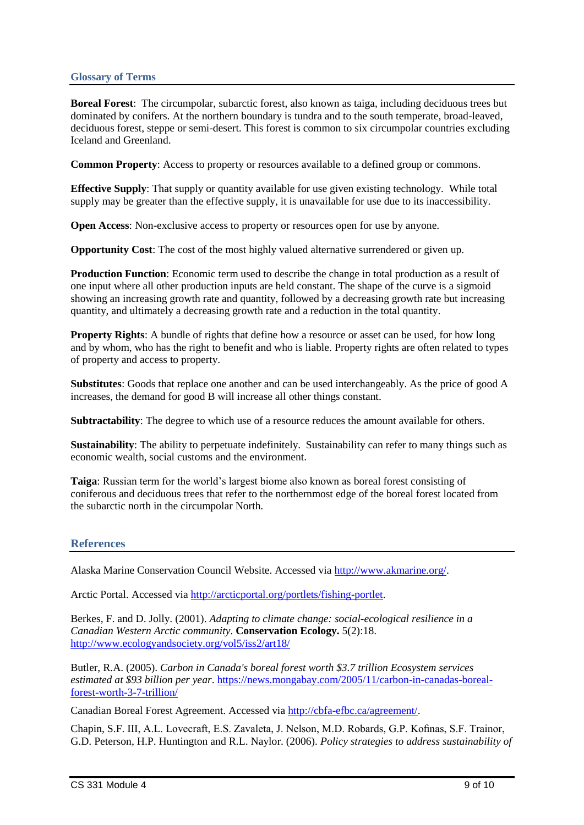### **Glossary of Terms**

**Boreal Forest**: The circumpolar, subarctic forest, also known as taiga, including deciduous trees but dominated by conifers. At the northern boundary is tundra and to the south temperate, broad-leaved, deciduous forest, steppe or semi-desert. This forest is common to six circumpolar countries excluding Iceland and Greenland.

**Common Property**: Access to property or resources available to a defined group or commons.

**Effective Supply**: That supply or quantity available for use given existing technology. While total supply may be greater than the effective supply, it is unavailable for use due to its inaccessibility.

**Open Access**: Non-exclusive access to property or resources open for use by anyone.

**Opportunity Cost**: The cost of the most highly valued alternative surrendered or given up.

**Production Function**: Economic term used to describe the change in total production as a result of one input where all other production inputs are held constant. The shape of the curve is a sigmoid showing an increasing growth rate and quantity, followed by a decreasing growth rate but increasing quantity, and ultimately a decreasing growth rate and a reduction in the total quantity.

**Property Rights:** A bundle of rights that define how a resource or asset can be used, for how long and by whom, who has the right to benefit and who is liable. Property rights are often related to types of property and access to property.

**Substitutes**: Goods that replace one another and can be used interchangeably. As the price of good A increases, the demand for good B will increase all other things constant.

**Subtractability**: The degree to which use of a resource reduces the amount available for others.

**Sustainability**: The ability to perpetuate indefinitely. Sustainability can refer to many things such as economic wealth, social customs and the environment.

**Taiga**: Russian term for the world's largest biome also known as boreal forest consisting of coniferous and deciduous trees that refer to the northernmost edge of the boreal forest located from the subarctic north in the circumpolar North.

### **References**

Alaska Marine Conservation Council Website. Accessed via [http://www.akmarine.org/.](http://www.akmarine.org/)

Arctic Portal. Accessed via [http://arcticportal.org/portlets/fishing-portlet.](http://arcticportal.org/portlets/fishing-portlet)

Berkes, F. and D. Jolly. (2001). *Adapting to climate change: social-ecological resilience in a Canadian Western Arctic community*. **Conservation Ecology.** 5(2):18. <http://www.ecologyandsociety.org/vol5/iss2/art18/>

Butler, R.A. (2005). *Carbon in Canada's boreal forest worth \$3.7 trillion Ecosystem services estimated at \$93 billion per year*. [https://news.mongabay.com/2005/11/carbon-in-canadas-boreal](https://news.mongabay.com/2005/11/carbon-in-canadas-boreal-forest-worth-3-7-trillion/)[forest-worth-3-7-trillion/](https://news.mongabay.com/2005/11/carbon-in-canadas-boreal-forest-worth-3-7-trillion/)

Canadian Boreal Forest Agreement. Accessed via [http://cbfa-efbc.ca/agreement/.](http://cbfa-efbc.ca/agreement/)

Chapin, S.F. III, A.L. Lovecraft, E.S. Zavaleta, J. Nelson, M.D. Robards, G.P. Kofinas, S.F. Trainor, G.D. Peterson, H.P. Huntington and R.L. Naylor. (2006). *Policy strategies to address sustainability of*